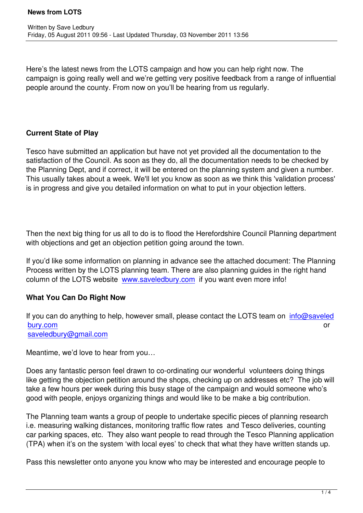Here's the latest news from the LOTS campaign and how you can help right now. The campaign is going really well and we're getting very positive feedback from a range of influential people around the county. From now on you'll be hearing from us regularly.

### **Current State of Play**

Tesco have submitted an application but have not yet provided all the documentation to the satisfaction of the Council. As soon as they do, all the documentation needs to be checked by the Planning Dept, and if correct, it will be entered on the planning system and given a number. This usually takes about a week. We'll let you know as soon as we think this 'validation process' is in progress and give you detailed information on what to put in your objection letters.

Then the next big thing for us all to do is to flood the Herefordshire Council Planning department with objections and get an objection petition going around the town.

If you'd like some information on planning in advance see the attached document: The Planning Process written by the LOTS planning team. There are also planning guides in the right hand column of the LOTS website www.saveledbury.com if you want even more info!

#### **What You Can Do Right Now**

If you can do anything to help[, however small, please](http://www.saveledbury.com) contact the LOTS team on  $info@saveled$ is the set of the set of the set of the set of the set of the set of the set of the set of the set of the set o saveledbury@gmail.com

[Meantime](mailto:info@saveledbury.com), we'd love to hear from you…

[Does any fantastic person](mailto:saveledbury@gmail.com) feel drawn to co-ordinating our wonderful volunteers doing things like getting the objection petition around the shops, checking up on addresses etc? The job will take a few hours per week during this busy stage of the campaign and would someone who's good with people, enjoys organizing things and would like to be make a big contribution.

The Planning team wants a group of people to undertake specific pieces of planning research i.e. measuring walking distances, monitoring traffic flow rates and Tesco deliveries, counting car parking spaces, etc. They also want people to read through the Tesco Planning application (TPA) when it's on the system 'with local eyes' to check that what they have written stands up.

Pass this newsletter onto anyone you know who may be interested and encourage people to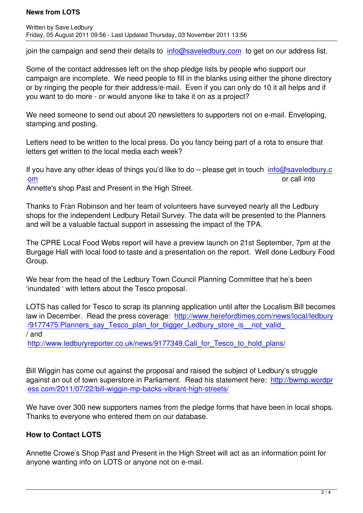join the campaign and send their details to info@saveledbury.com to get on our address list.

Some of the contact addresses left on the shop pledge lists by people who support our campaign are incomplete. We need peopl[e to fill in the blanks usin](mailto:info@saveledbury.com)g either the phone directory or by ringing the people for their address/e-mail. Even if you can only do 10 it all helps and if you want to do more - or would anyone like to take it on as a project?

We need someone to send out about 20 newsletters to supporters not on e-mail. Enveloping, stamping and posting.

Letters need to be written to the local press. Do you fancy being part of a rota to ensure that letters get written to the local media each week?

If you have any other ideas of things you'd like to do - please get in touch info@saveledbury.c om or call into the contract of the contract of the contract of the contract of call into

Annette's shop Past and Present in the High Street.

[Tha](mailto:info@saveledbury.com)nks to Fran Robinson and her team of volunteers have surveyed nearl[y all the Ledbury](mailto:info@saveledbury.com) shops for the independent Ledbury Retail Survey. The data will be presented to the Planners and will be a valuable factual support in assessing the impact of the TPA.

The CPRE Local Food Webs report will have a preview launch on 21st September, 7pm at the Burgage Hall with local food to taste and a presentation on the report. Well done Ledbury Food Group.

We hear from the head of the Ledbury Town Council Planning Committee that he's been 'inundated ' with letters about the Tesco proposal.

LOTS has called for Tesco to scrap its planning application until after the Localism Bill becomes law in December. Read the press coverage: http://www.herefordtimes.com/news/local/ledbury /9177475. Planners say Tesco plan for bigger Ledbury store is not valid / and

http://www.ledburyreporter.co.uk/news/9177[349.Call\\_for\\_Tesco\\_to\\_hold\\_plans/](http://www.herefordtimes.com/news/local/ledbury/9177475.Planners_say_Tesco_plan_for_bigger_Ledbury_store_is__not_valid_)

[Bill Wiggin has come out against the proposal and raised the subject of Ledbury'](http://www.ledburyreporter.co.uk/news/9177349.Call_for_Tesco_to_hold_plans/)s struggle against an out of town superstore in Parliament. Read his statement here: http://bwmp.wordpr ess.com/2011/07/22/bill-wiggin-mp-backs-vibrant-high-streets/

We have over 300 new supporters names from the pledge forms that have [been in local shops.](http://bwmp.wordpress.com/2011/07/22/bill-wiggin-mp-backs-vibrant-high-streets/) [Thanks to everyone who entered them on our database.](http://bwmp.wordpress.com/2011/07/22/bill-wiggin-mp-backs-vibrant-high-streets/)

## **How to Contact LOTS**

Annette Crowe's Shop Past and Present in the High Street will act as an information point for anyone wanting info on LOTS or anyone not on e-mail.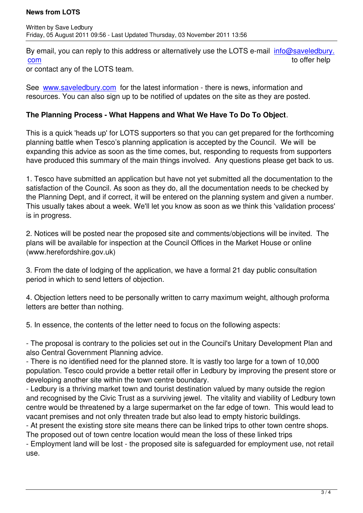By email, you can reply to this address or alternatively use the LOTS e-mail info@saveledbury. com to offer help

or contact any of the LOTS team.

[See](mailto:info@saveledbury.com) www.saveledbury.com for the latest information - there is news, inform[ation and](mailto:info@saveledbury.com) resources. You can also sign up to be notified of updates on the site as they are posted.

## **The [Planning Process - Wh](http://www.saveledbury.com)at Happens and What We Have To Do To Object**.

This is a quick 'heads up' for LOTS supporters so that you can get prepared for the forthcoming planning battle when Tesco's planning application is accepted by the Council. We will be expanding this advice as soon as the time comes, but, responding to requests from supporters have produced this summary of the main things involved. Any questions please get back to us.

1. Tesco have submitted an application but have not yet submitted all the documentation to the satisfaction of the Council. As soon as they do, all the documentation needs to be checked by the Planning Dept, and if correct, it will be entered on the planning system and given a number. This usually takes about a week. We'll let you know as soon as we think this 'validation process' is in progress.

2. Notices will be posted near the proposed site and comments/objections will be invited. The plans will be available for inspection at the Council Offices in the Market House or online (www.herefordshire.gov.uk)

3. From the date of lodging of the application, we have a formal 21 day public consultation period in which to send letters of objection.

4. Objection letters need to be personally written to carry maximum weight, although proforma letters are better than nothing.

5. In essence, the contents of the letter need to focus on the following aspects:

- The proposal is contrary to the policies set out in the Council's Unitary Development Plan and also Central Government Planning advice.

- There is no identified need for the planned store. It is vastly too large for a town of 10,000 population. Tesco could provide a better retail offer in Ledbury by improving the present store or developing another site within the town centre boundary.

- Ledbury is a thriving market town and tourist destination valued by many outside the region and recognised by the Civic Trust as a surviving jewel. The vitality and viability of Ledbury town centre would be threatened by a large supermarket on the far edge of town. This would lead to vacant premises and not only threaten trade but also lead to empty historic buildings.

- At present the existing store site means there can be linked trips to other town centre shops. The proposed out of town centre location would mean the loss of these linked trips

- Employment land will be lost - the proposed site is safeguarded for employment use, not retail use.